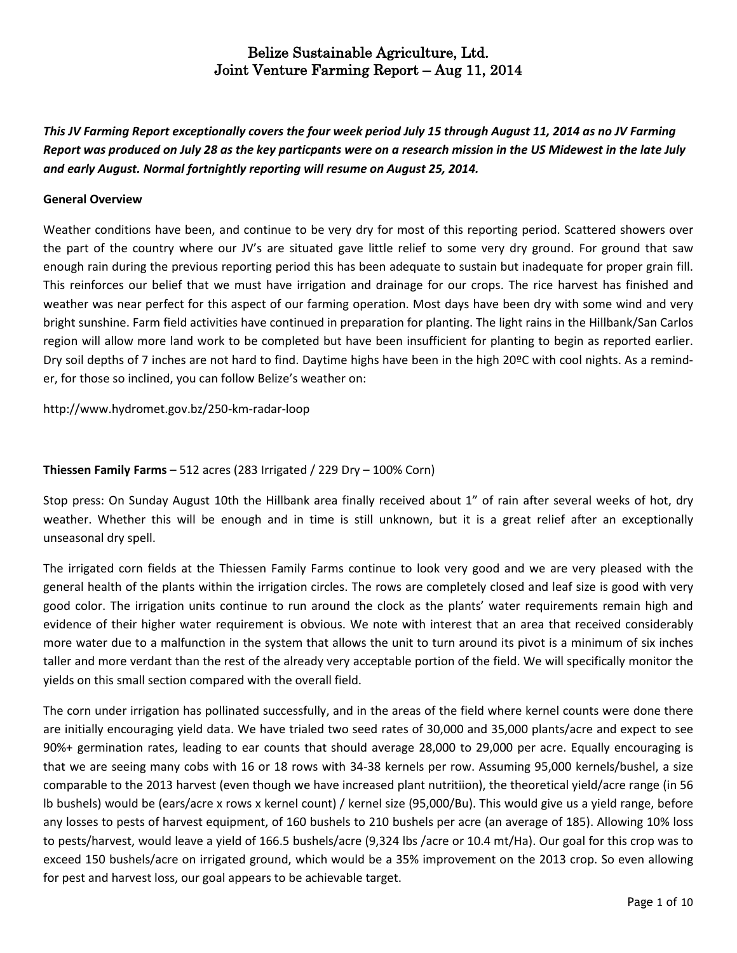This JV Farming Report exceptionally covers the four week period July 15 through August 11, 2014 as no JV Farming Report was produced on July 28 as the key particpants were on a research mission in the US Midewest in the late July *and early August. Normal fortnightly reporting will resume on August 25, 2014.*

#### **General Overview**

Weather conditions have been, and continue to be very dry for most of this reporting period. Scattered showers over the part of the country where our JV's are situated gave little relief to some very dry ground. For ground that saw enough rain during the previous reporting period this has been adequate to sustain but inadequate for proper grain fill. This reinforces our belief that we must have irrigation and drainage for our crops. The rice harvest has finished and weather was near perfect for this aspect of our farming operation. Most days have been dry with some wind and very bright sunshine. Farm field activities have continued in preparation for planting. The light rains in the Hillbank/San Carlos region will allow more land work to be completed but have been insufficient for planting to begin as reported earlier. Dry soil depths of 7 inches are not hard to find. Daytime highs have been in the high 20ºC with cool nights. As a reminder, for those so inclined, you can follow Belize's weather on:

<http://www.hydromet.gov.bz/250-km-radar-loop>

### **Thiessen Family Farms** – 512 acres (283 Irrigated / 229 Dry – 100% Corn)

Stop press: On Sunday August 10th the Hillbank area finally received about 1" of rain after several weeks of hot, dry weather. Whether this will be enough and in time is still unknown, but it is a great relief after an exceptionally unseasonal dry spell.

The irrigated corn fields at the Thiessen Family Farms continue to look very good and we are very pleased with the general health of the plants within the irrigation circles. The rows are completely closed and leaf size is good with very good color. The irrigation units continue to run around the clock as the plants' water requirements remain high and evidence of their higher water requirement is obvious. We note with interest that an area that received considerably more water due to a malfunction in the system that allows the unit to turn around its pivot is a minimum of six inches taller and more verdant than the rest of the already very acceptable portion of the field. We will specifically monitor the yields on this small section compared with the overall field.

The corn under irrigation has pollinated successfully, and in the areas of the field where kernel counts were done there are initially encouraging yield data. We have trialed two seed rates of 30,000 and 35,000 plants/acre and expect to see 90%+ germination rates, leading to ear counts that should average 28,000 to 29,000 per acre. Equally encouraging is that we are seeing many cobs with 16 or 18 rows with 34-38 kernels per row. Assuming 95,000 kernels/bushel, a size comparable to the 2013 harvest (even though we have increased plant nutritiion), the theoretical yield/acre range (in 56 lb bushels) would be (ears/acre x rows x kernel count) / kernel size (95,000/Bu). This would give us a yield range, before any losses to pests of harvest equipment, of 160 bushels to 210 bushels per acre (an average of 185). Allowing 10% loss to pests/harvest, would leave a yield of 166.5 bushels/acre (9,324 lbs /acre or 10.4 mt/Ha). Our goal for this crop was to exceed 150 bushels/acre on irrigated ground, which would be a 35% improvement on the 2013 crop. So even allowing for pest and harvest loss, our goal appears to be achievable target.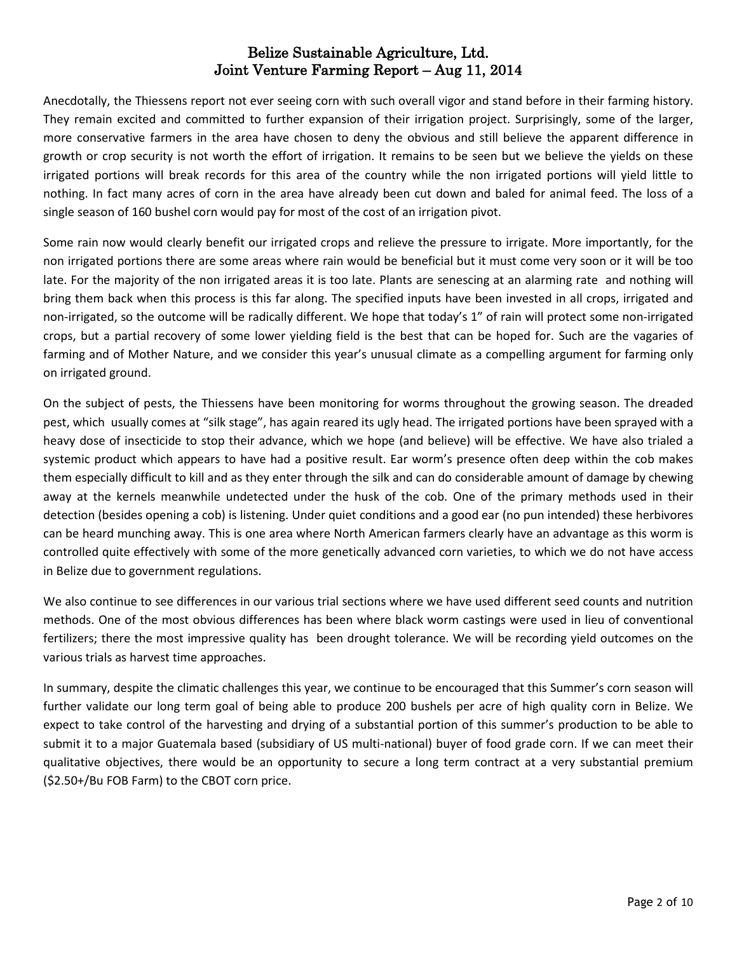Anecdotally, the Thiessens report not ever seeing corn with such overall vigor and stand before in their farming history. They remain excited and committed to further expansion of their irrigation project. Surprisingly, some of the larger, more conservative farmers in the area have chosen to deny the obvious and still believe the apparent difference in growth or crop security is not worth the effort of irrigation. It remains to be seen but we believe the yields on these irrigated portions will break records for this area of the country while the non irrigated portions will yield little to nothing. In fact many acres of corn in the area have already been cut down and baled for animal feed. The loss of a single season of 160 bushel corn would pay for most of the cost of an irrigation pivot.

Some rain now would clearly benefit our irrigated crops and relieve the pressure to irrigate. More importantly, for the non irrigated portions there are some areas where rain would be beneficial but it must come very soon or it will be too late. For the majority of the non irrigated areas it is too late. Plants are senescing at an alarming rate and nothing will bring them back when this process is this far along. The specified inputs have been invested in all crops, irrigated and non-irrigated, so the outcome will be radically different. We hope that today's 1" of rain will protect some non-irrigated crops, but a partial recovery of some lower yielding field is the best that can be hoped for. Such are the vagaries of farming and of Mother Nature, and we consider this year's unusual climate as a compelling argument for farming only on irrigated ground.

On the subject of pests, the Thiessens have been monitoring for worms throughout the growing season. The dreaded pest, which usually comes at "silk stage", has again reared its ugly head. The irrigated portions have been sprayed with a heavy dose of insecticide to stop their advance, which we hope (and believe) will be effective. We have also trialed a systemic product which appears to have had a positive result. Ear worm's presence often deep within the cob makes them especially difficult to kill and as they enter through the silk and can do considerable amount of damage by chewing away at the kernels meanwhile undetected under the husk of the cob. One of the primary methods used in their detection (besides opening a cob) is listening. Under quiet conditions and a good ear (no pun intended) these herbivores can be heard munching away. This is one area where North American farmers clearly have an advantage as this worm is controlled quite effectively with some of the more genetically advanced corn varieties, to which we do not have access in Belize due to government regulations.

We also continue to see differences in our various trial sections where we have used different seed counts and nutrition methods. One of the most obvious differences has been where black worm castings were used in lieu of conventional fertilizers; there the most impressive quality has been drought tolerance. We will be recording yield outcomes on the various trials as harvest time approaches.

In summary, despite the climatic challenges this year, we continue to be encouraged that this Summer's corn season will further validate our long term goal of being able to produce 200 bushels per acre of high quality corn in Belize. We expect to take control of the harvesting and drying of a substantial portion of this summer's production to be able to submit it to a major Guatemala based (subsidiary of US multi-national) buyer of food grade corn. If we can meet their qualitative objectives, there would be an opportunity to secure a long term contract at a very substantial premium (\$2.50+/Bu FOB Farm) to the CBOT corn price.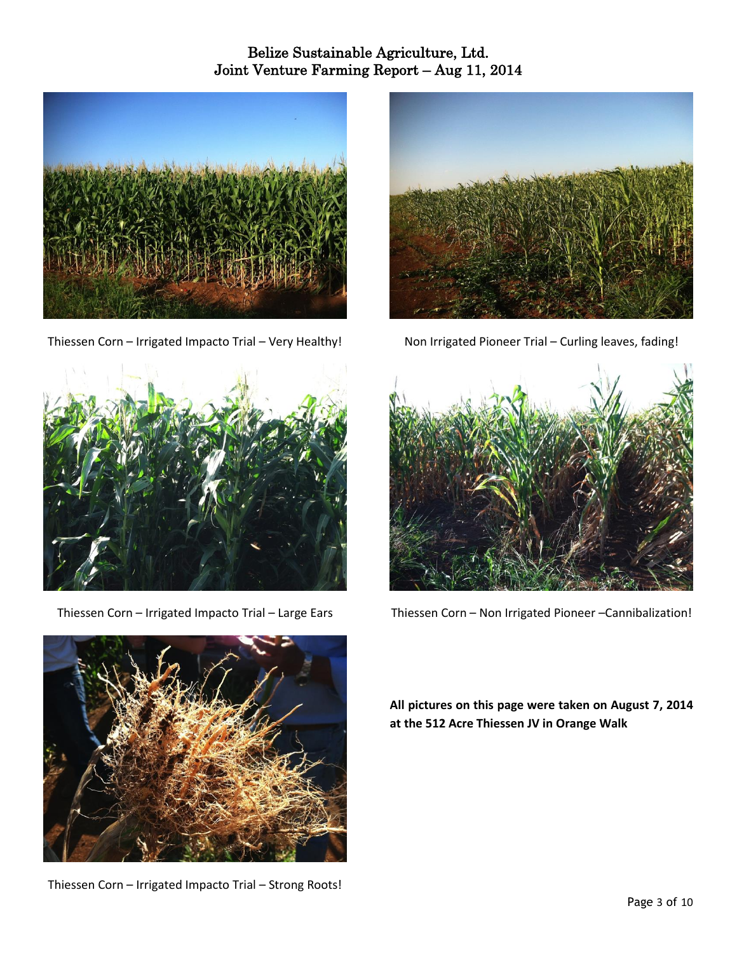

Thiessen Corn – Irrigated Impacto Trial – Very Healthy!



Thiessen Corn – Irrigated Impacto Trial – Large Ears



Thiessen Corn – Irrigated Impacto Trial – Strong Roots!



Non Irrigated Pioneer Trial – Curling leaves, fading!



Thiessen Corn – Non Irrigated Pioneer –Cannibalization!

**All pictures on this page were taken on August 7, 2014 at the 512 Acre Thiessen JV in Orange Walk**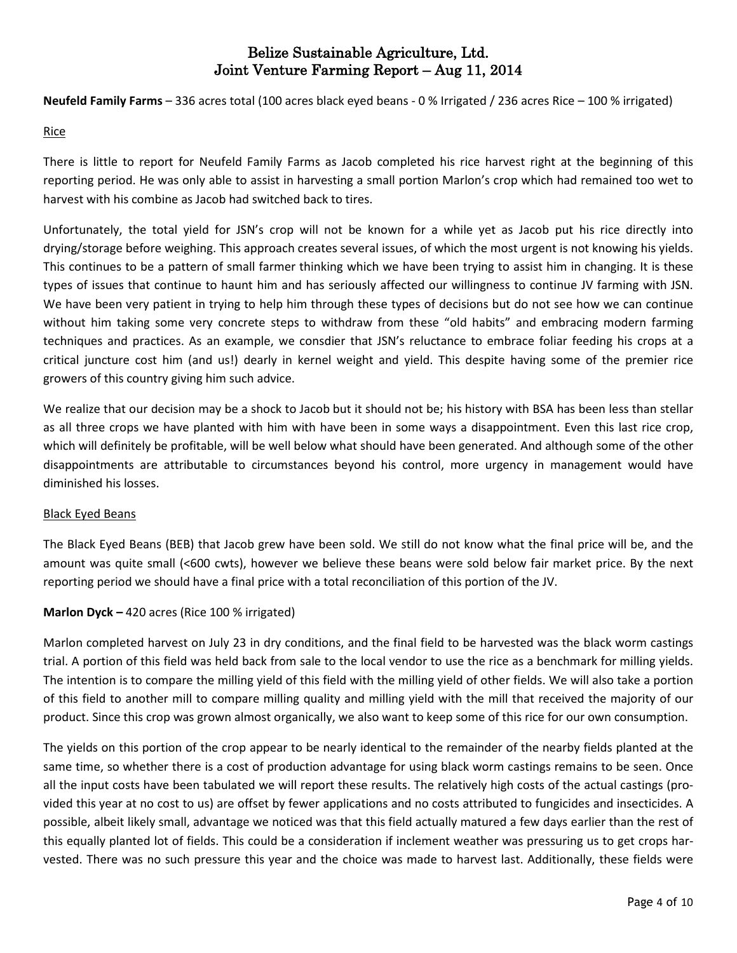**Neufeld Family Farms** – 336 acres total (100 acres black eyed beans - 0 % Irrigated / 236 acres Rice – 100 % irrigated)

#### Rice

There is little to report for Neufeld Family Farms as Jacob completed his rice harvest right at the beginning of this reporting period. He was only able to assist in harvesting a small portion Marlon's crop which had remained too wet to harvest with his combine as Jacob had switched back to tires.

Unfortunately, the total yield for JSN's crop will not be known for a while yet as Jacob put his rice directly into drying/storage before weighing. This approach creates several issues, of which the most urgent is not knowing his yields. This continues to be a pattern of small farmer thinking which we have been trying to assist him in changing. It is these types of issues that continue to haunt him and has seriously affected our willingness to continue JV farming with JSN. We have been very patient in trying to help him through these types of decisions but do not see how we can continue without him taking some very concrete steps to withdraw from these "old habits" and embracing modern farming techniques and practices. As an example, we consdier that JSN's reluctance to embrace foliar feeding his crops at a critical juncture cost him (and us!) dearly in kernel weight and yield. This despite having some of the premier rice growers of this country giving him such advice.

We realize that our decision may be a shock to Jacob but it should not be; his history with BSA has been less than stellar as all three crops we have planted with him with have been in some ways a disappointment. Even this last rice crop, which will definitely be profitable, will be well below what should have been generated. And although some of the other disappointments are attributable to circumstances beyond his control, more urgency in management would have diminished his losses.

#### Black Eyed Beans

The Black Eyed Beans (BEB) that Jacob grew have been sold. We still do not know what the final price will be, and the amount was quite small (<600 cwts), however we believe these beans were sold below fair market price. By the next reporting period we should have a final price with a total reconciliation of this portion of the JV.

### **Marlon Dyck –** 420 acres (Rice 100 % irrigated)

Marlon completed harvest on July 23 in dry conditions, and the final field to be harvested was the black worm castings trial. A portion of this field was held back from sale to the local vendor to use the rice as a benchmark for milling yields. The intention is to compare the milling yield of this field with the milling yield of other fields. We will also take a portion of this field to another mill to compare milling quality and milling yield with the mill that received the majority of our product. Since this crop was grown almost organically, we also want to keep some of this rice for our own consumption.

The yields on this portion of the crop appear to be nearly identical to the remainder of the nearby fields planted at the same time, so whether there is a cost of production advantage for using black worm castings remains to be seen. Once all the input costs have been tabulated we will report these results. The relatively high costs of the actual castings (provided this year at no cost to us) are offset by fewer applications and no costs attributed to fungicides and insecticides. A possible, albeit likely small, advantage we noticed was that this field actually matured a few days earlier than the rest of this equally planted lot of fields. This could be a consideration if inclement weather was pressuring us to get crops harvested. There was no such pressure this year and the choice was made to harvest last. Additionally, these fields were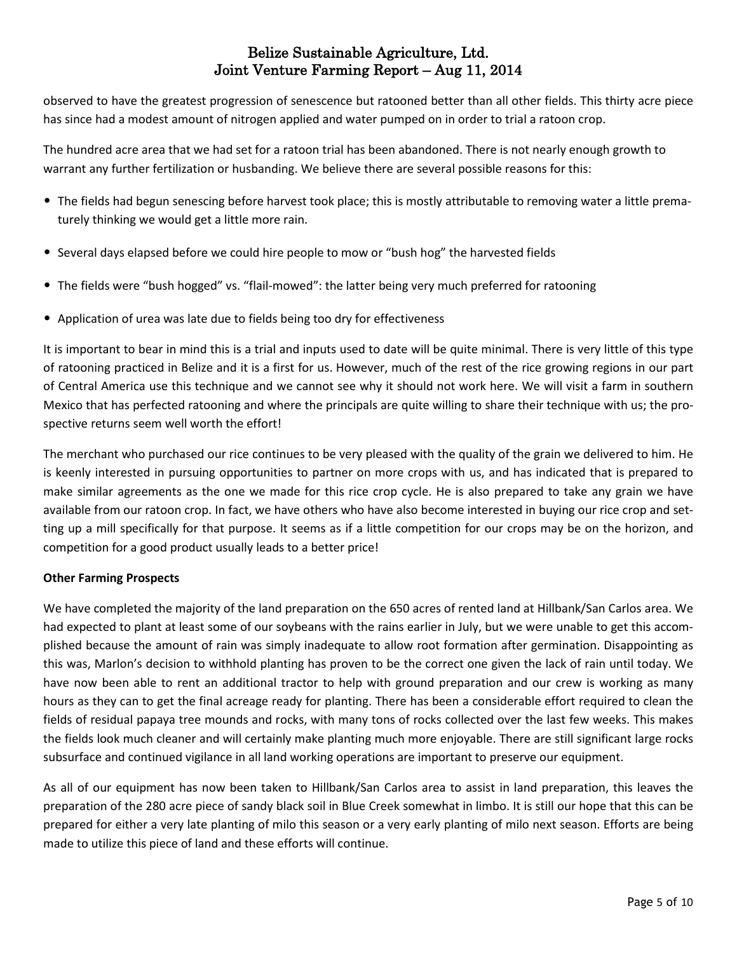observed to have the greatest progression of senescence but ratooned better than all other fields. This thirty acre piece has since had a modest amount of nitrogen applied and water pumped on in order to trial a ratoon crop.

The hundred acre area that we had set for a ratoon trial has been abandoned. There is not nearly enough growth to warrant any further fertilization or husbanding. We believe there are several possible reasons for this:

- The fields had begun senescing before harvest took place; this is mostly attributable to removing water a little prematurely thinking we would get a little more rain.
- Several days elapsed before we could hire people to mow or "bush hog" the harvested fields
- The fields were "bush hogged" vs. "flail-mowed": the latter being very much preferred for ratooning
- Application of urea was late due to fields being too dry for effectiveness

It is important to bear in mind this is a trial and inputs used to date will be quite minimal. There is very little of this type of ratooning practiced in Belize and it is a first for us. However, much of the rest of the rice growing regions in our part of Central America use this technique and we cannot see why it should not work here. We will visit a farm in southern Mexico that has perfected ratooning and where the principals are quite willing to share their technique with us; the prospective returns seem well worth the effort!

The merchant who purchased our rice continues to be very pleased with the quality of the grain we delivered to him. He is keenly interested in pursuing opportunities to partner on more crops with us, and has indicated that is prepared to make similar agreements as the one we made for this rice crop cycle. He is also prepared to take any grain we have available from our ratoon crop. In fact, we have others who have also become interested in buying our rice crop and setting up a mill specifically for that purpose. It seems as if a little competition for our crops may be on the horizon, and competition for a good product usually leads to a better price!

### **Other Farming Prospects**

We have completed the majority of the land preparation on the 650 acres of rented land at Hillbank/San Carlos area. We had expected to plant at least some of our soybeans with the rains earlier in July, but we were unable to get this accomplished because the amount of rain was simply inadequate to allow root formation after germination. Disappointing as this was, Marlon's decision to withhold planting has proven to be the correct one given the lack of rain until today. We have now been able to rent an additional tractor to help with ground preparation and our crew is working as many hours as they can to get the final acreage ready for planting. There has been a considerable effort required to clean the fields of residual papaya tree mounds and rocks, with many tons of rocks collected over the last few weeks. This makes the fields look much cleaner and will certainly make planting much more enjoyable. There are still significant large rocks subsurface and continued vigilance in all land working operations are important to preserve our equipment.

As all of our equipment has now been taken to Hillbank/San Carlos area to assist in land preparation, this leaves the preparation of the 280 acre piece of sandy black soil in Blue Creek somewhat in limbo. It is still our hope that this can be prepared for either a very late planting of milo this season or a very early planting of milo next season. Efforts are being made to utilize this piece of land and these efforts will continue.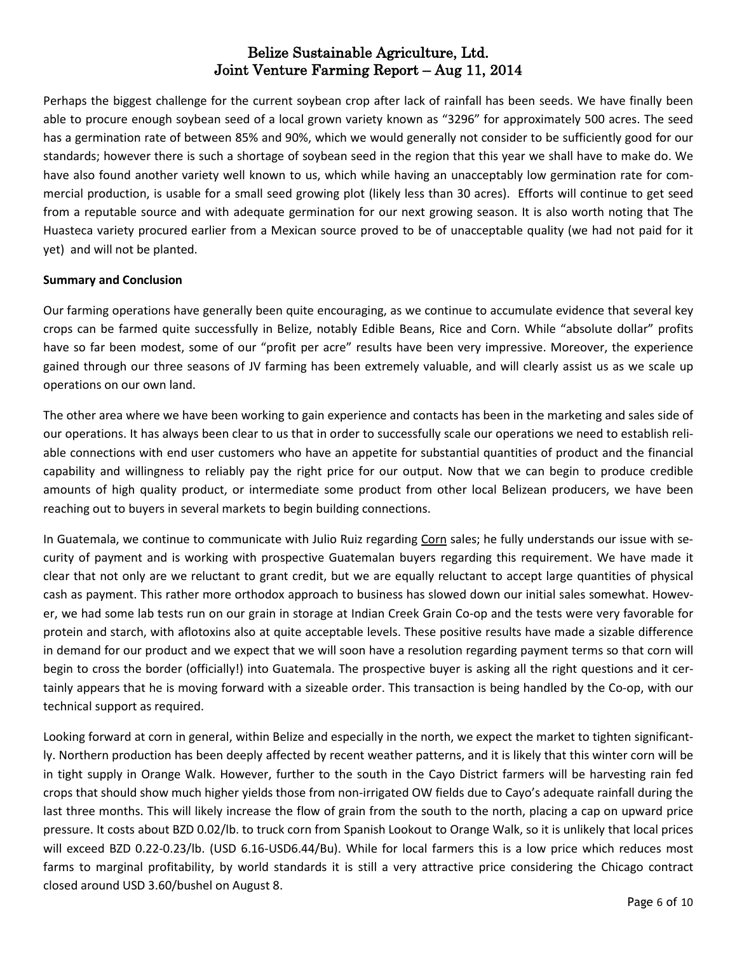Perhaps the biggest challenge for the current soybean crop after lack of rainfall has been seeds. We have finally been able to procure enough soybean seed of a local grown variety known as "3296" for approximately 500 acres. The seed has a germination rate of between 85% and 90%, which we would generally not consider to be sufficiently good for our standards; however there is such a shortage of soybean seed in the region that this year we shall have to make do. We have also found another variety well known to us, which while having an unacceptably low germination rate for commercial production, is usable for a small seed growing plot (likely less than 30 acres). Efforts will continue to get seed from a reputable source and with adequate germination for our next growing season. It is also worth noting that The Huasteca variety procured earlier from a Mexican source proved to be of unacceptable quality (we had not paid for it yet) and will not be planted.

#### **Summary and Conclusion**

Our farming operations have generally been quite encouraging, as we continue to accumulate evidence that several key crops can be farmed quite successfully in Belize, notably Edible Beans, Rice and Corn. While "absolute dollar" profits have so far been modest, some of our "profit per acre" results have been very impressive. Moreover, the experience gained through our three seasons of JV farming has been extremely valuable, and will clearly assist us as we scale up operations on our own land.

The other area where we have been working to gain experience and contacts has been in the marketing and sales side of our operations. It has always been clear to us that in order to successfully scale our operations we need to establish reliable connections with end user customers who have an appetite for substantial quantities of product and the financial capability and willingness to reliably pay the right price for our output. Now that we can begin to produce credible amounts of high quality product, or intermediate some product from other local Belizean producers, we have been reaching out to buyers in several markets to begin building connections.

In Guatemala, we continue to communicate with Julio Ruiz regarding Corn sales; he fully understands our issue with security of payment and is working with prospective Guatemalan buyers regarding this requirement. We have made it clear that not only are we reluctant to grant credit, but we are equally reluctant to accept large quantities of physical cash as payment. This rather more orthodox approach to business has slowed down our initial sales somewhat. However, we had some lab tests run on our grain in storage at Indian Creek Grain Co-op and the tests were very favorable for protein and starch, with aflotoxins also at quite acceptable levels. These positive results have made a sizable difference in demand for our product and we expect that we will soon have a resolution regarding payment terms so that corn will begin to cross the border (officially!) into Guatemala. The prospective buyer is asking all the right questions and it certainly appears that he is moving forward with a sizeable order. This transaction is being handled by the Co-op, with our technical support as required.

Looking forward at corn in general, within Belize and especially in the north, we expect the market to tighten significantly. Northern production has been deeply affected by recent weather patterns, and it is likely that this winter corn will be in tight supply in Orange Walk. However, further to the south in the Cayo District farmers will be harvesting rain fed crops that should show much higher yields those from non-irrigated OW fields due to Cayo's adequate rainfall during the last three months. This will likely increase the flow of grain from the south to the north, placing a cap on upward price pressure. It costs about BZD 0.02/lb. to truck corn from Spanish Lookout to Orange Walk, so it is unlikely that local prices will exceed BZD 0.22-0.23/lb. (USD 6.16-USD6.44/Bu). While for local farmers this is a low price which reduces most farms to marginal profitability, by world standards it is still a very attractive price considering the Chicago contract closed around USD 3.60/bushel on August 8.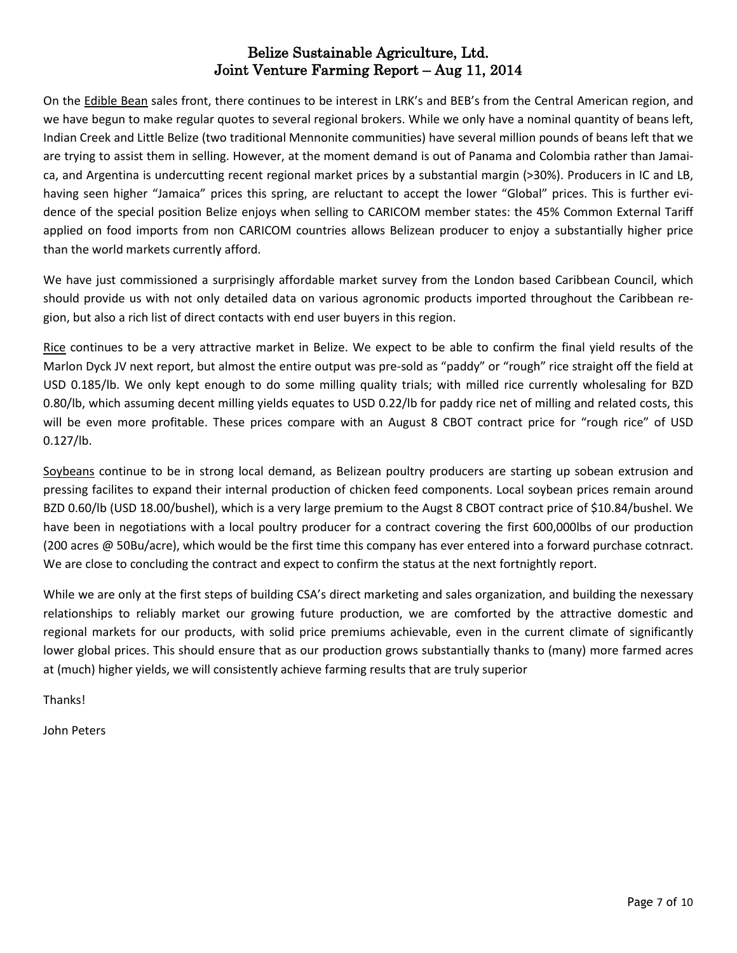On the Edible Bean sales front, there continues to be interest in LRK's and BEB's from the Central American region, and we have begun to make regular quotes to several regional brokers. While we only have a nominal quantity of beans left, Indian Creek and Little Belize (two traditional Mennonite communities) have several million pounds of beans left that we are trying to assist them in selling. However, at the moment demand is out of Panama and Colombia rather than Jamaica, and Argentina is undercutting recent regional market prices by a substantial margin (>30%). Producers in IC and LB, having seen higher "Jamaica" prices this spring, are reluctant to accept the lower "Global" prices. This is further evidence of the special position Belize enjoys when selling to CARICOM member states: the 45% Common External Tariff applied on food imports from non CARICOM countries allows Belizean producer to enjoy a substantially higher price than the world markets currently afford.

We have just commissioned a surprisingly affordable market survey from the London based Caribbean Council, which should provide us with not only detailed data on various agronomic products imported throughout the Caribbean region, but also a rich list of direct contacts with end user buyers in this region.

Rice continues to be a very attractive market in Belize. We expect to be able to confirm the final yield results of the Marlon Dyck JV next report, but almost the entire output was pre-sold as "paddy" or "rough" rice straight off the field at USD 0.185/lb. We only kept enough to do some milling quality trials; with milled rice currently wholesaling for BZD 0.80/lb, which assuming decent milling yields equates to USD 0.22/lb for paddy rice net of milling and related costs, this will be even more profitable. These prices compare with an August 8 CBOT contract price for "rough rice" of USD 0.127/lb.

Soybeans continue to be in strong local demand, as Belizean poultry producers are starting up sobean extrusion and pressing facilites to expand their internal production of chicken feed components. Local soybean prices remain around BZD 0.60/lb (USD 18.00/bushel), which is a very large premium to the Augst 8 CBOT contract price of \$10.84/bushel. We have been in negotiations with a local poultry producer for a contract covering the first 600,000lbs of our production (200 acres @ 50Bu/acre), which would be the first time this company has ever entered into a forward purchase cotnract. We are close to concluding the contract and expect to confirm the status at the next fortnightly report.

While we are only at the first steps of building CSA's direct marketing and sales organization, and building the nexessary relationships to reliably market our growing future production, we are comforted by the attractive domestic and regional markets for our products, with solid price premiums achievable, even in the current climate of significantly lower global prices. This should ensure that as our production grows substantially thanks to (many) more farmed acres at (much) higher yields, we will consistently achieve farming results that are truly superior

**Thanks!** 

John Peters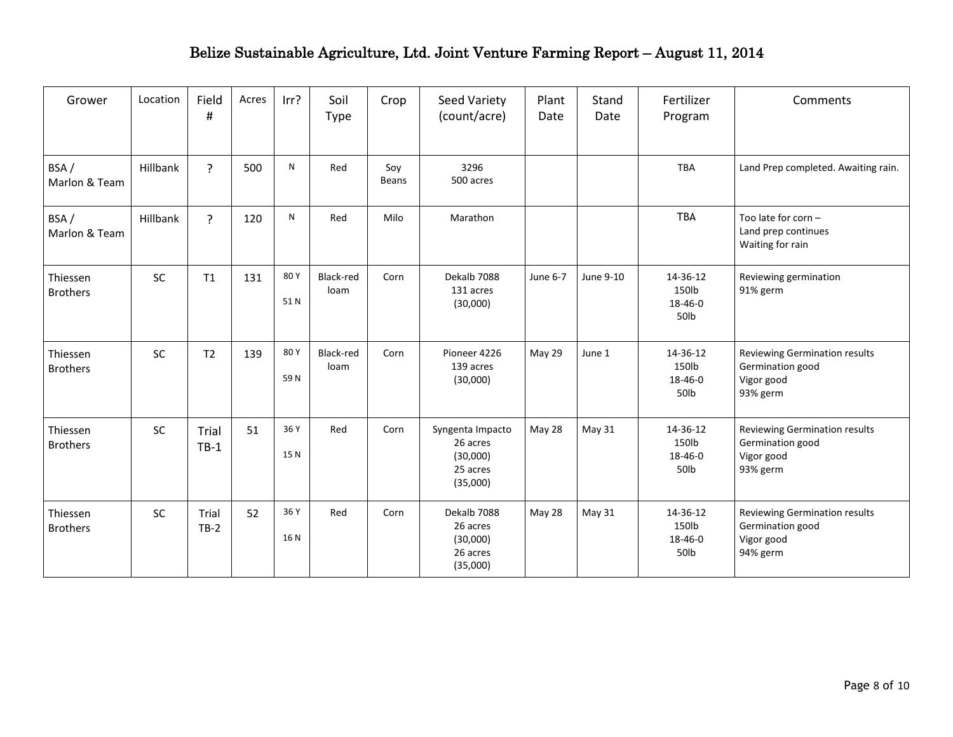| Grower                      | Location  | Field<br>$\sharp\hspace{-0.8em}\sharp$ | Acres | Irr?        | Soil<br><b>Type</b> | Crop         | Seed Variety<br>(count/acre)                                     | Plant<br>Date | Stand<br>Date | Fertilizer<br>Program                | Comments                                                                           |
|-----------------------------|-----------|----------------------------------------|-------|-------------|---------------------|--------------|------------------------------------------------------------------|---------------|---------------|--------------------------------------|------------------------------------------------------------------------------------|
| BSA/<br>Marlon & Team       | Hillbank  | $\overline{?}$                         | 500   | N           | Red                 | Soy<br>Beans | 3296<br>500 acres                                                |               |               | <b>TBA</b>                           | Land Prep completed. Awaiting rain.                                                |
| BSA/<br>Marlon & Team       | Hillbank  | $\overline{?}$                         | 120   | N           | Red                 | Milo         | Marathon                                                         |               |               | <b>TBA</b>                           | Too late for corn -<br>Land prep continues<br>Waiting for rain                     |
| Thiessen<br><b>Brothers</b> | SC        | T1                                     | 131   | 80Y<br>51N  | Black-red<br>loam   | Corn         | Dekalb 7088<br>131 acres<br>(30,000)                             | June 6-7      | June 9-10     | 14-36-12<br>150lb<br>18-46-0<br>50lb | Reviewing germination<br>91% germ                                                  |
| Thiessen<br><b>Brothers</b> | <b>SC</b> | T <sub>2</sub>                         | 139   | 80Y<br>59N  | Black-red<br>loam   | Corn         | Pioneer 4226<br>139 acres<br>(30,000)                            | May 29        | June 1        | 14-36-12<br>150lb<br>18-46-0<br>50lb | <b>Reviewing Germination results</b><br>Germination good<br>Vigor good<br>93% germ |
| Thiessen<br><b>Brothers</b> | <b>SC</b> | Trial<br>$TB-1$                        | 51    | 36 Y<br>15N | Red                 | Corn         | Syngenta Impacto<br>26 acres<br>(30,000)<br>25 acres<br>(35,000) | May 28        | May 31        | 14-36-12<br>150lb<br>18-46-0<br>50lb | Reviewing Germination results<br>Germination good<br>Vigor good<br>93% germ        |
| Thiessen<br><b>Brothers</b> | <b>SC</b> | Trial<br>$TB-2$                        | 52    | 36 Y<br>16N | Red                 | Corn         | Dekalb 7088<br>26 acres<br>(30,000)<br>26 acres<br>(35,000)      | May 28        | May 31        | 14-36-12<br>150lb<br>18-46-0<br>50lb | Reviewing Germination results<br>Germination good<br>Vigor good<br>94% germ        |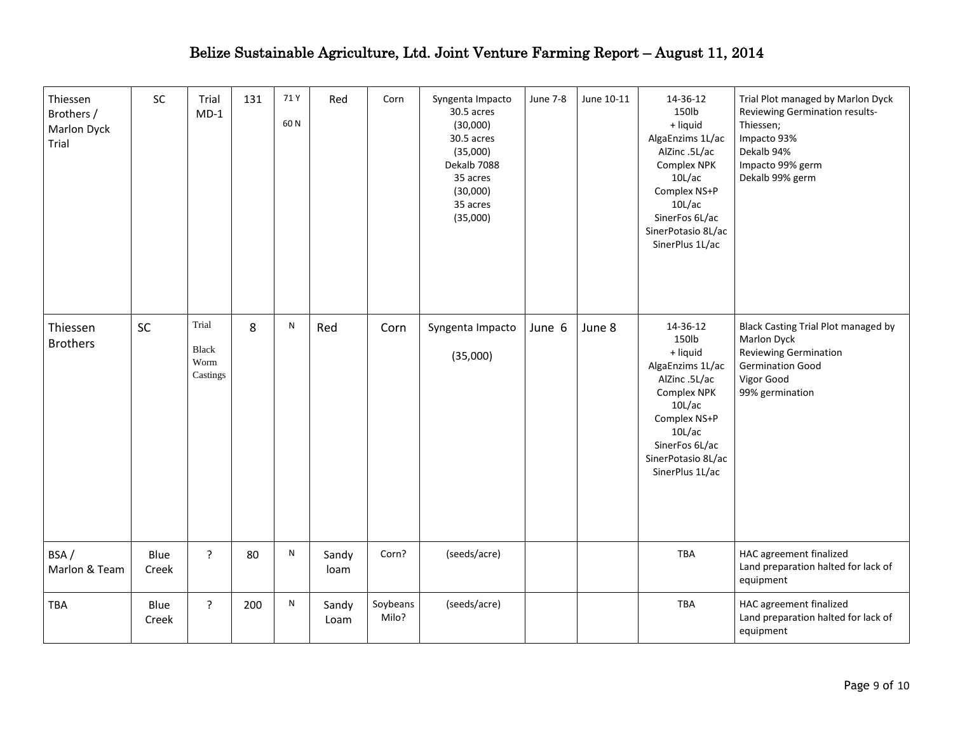| Thiessen<br>Brothers /<br>Marlon Dyck<br>Trial | SC            | Trial<br>$MD-1$                    | 131 | 71 Y<br>60N | Red           | Corn              | Syngenta Impacto<br>30.5 acres<br>(30,000)<br>30.5 acres<br>(35,000)<br>Dekalb 7088<br>35 acres<br>(30,000)<br>35 acres<br>(35,000) | <b>June 7-8</b> | June 10-11 | 14-36-12<br>150lb<br>+ liquid<br>AlgaEnzims 1L/ac<br>AlZinc .5L/ac<br>Complex NPK<br>10L/ac<br>Complex NS+P<br>10L/ac<br>SinerFos 6L/ac<br>SinerPotasio 8L/ac<br>SinerPlus 1L/ac | Trial Plot managed by Marlon Dyck<br>Reviewing Germination results-<br>Thiessen;<br>Impacto 93%<br>Dekalb 94%<br>Impacto 99% germ<br>Dekalb 99% germ |
|------------------------------------------------|---------------|------------------------------------|-----|-------------|---------------|-------------------|-------------------------------------------------------------------------------------------------------------------------------------|-----------------|------------|----------------------------------------------------------------------------------------------------------------------------------------------------------------------------------|------------------------------------------------------------------------------------------------------------------------------------------------------|
| Thiessen<br><b>Brothers</b>                    | <b>SC</b>     | Trial<br>Black<br>Worm<br>Castings | 8   | N           | Red           | Corn              | Syngenta Impacto<br>(35,000)                                                                                                        | June 6          | June 8     | 14-36-12<br>150lb<br>+ liquid<br>AlgaEnzims 1L/ac<br>AlZinc .5L/ac<br>Complex NPK<br>10L/ac<br>Complex NS+P<br>10L/ac<br>SinerFos 6L/ac<br>SinerPotasio 8L/ac<br>SinerPlus 1L/ac | Black Casting Trial Plot managed by<br>Marlon Dyck<br><b>Reviewing Germination</b><br><b>Germination Good</b><br>Vigor Good<br>99% germination       |
| BSA/<br>Marlon & Team                          | Blue<br>Creek | $\cdot$                            | 80  | ${\sf N}$   | Sandy<br>loam | Corn?             | (seeds/acre)                                                                                                                        |                 |            | TBA                                                                                                                                                                              | HAC agreement finalized<br>Land preparation halted for lack of<br>equipment                                                                          |
| TBA                                            | Blue<br>Creek | ?                                  | 200 | ${\sf N}$   | Sandy<br>Loam | Soybeans<br>Milo? | (seeds/acre)                                                                                                                        |                 |            | <b>TBA</b>                                                                                                                                                                       | HAC agreement finalized<br>Land preparation halted for lack of<br>equipment                                                                          |